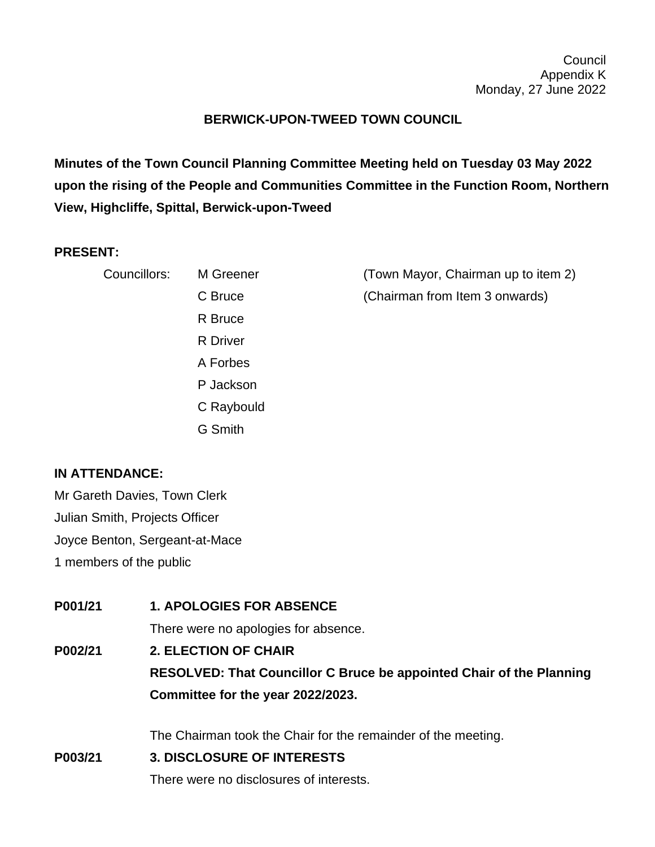## **BERWICK-UPON-TWEED TOWN COUNCIL**

**Minutes of the Town Council Planning Committee Meeting held on Tuesday 03 May 2022 upon the rising of the People and Communities Committee in the Function Room, Northern View, Highcliffe, Spittal, Berwick-upon-Tweed**

## **PRESENT:**

| Councillors: | M Greener       | (Town Mayor, Chairman up to item 2) |
|--------------|-----------------|-------------------------------------|
|              | C Bruce         | (Chairman from Item 3 onwards)      |
|              | R Bruce         |                                     |
|              | <b>R</b> Driver |                                     |
|              | A Forbes        |                                     |
|              | P Jackson       |                                     |
|              | C Raybould      |                                     |

G Smith

## **IN ATTENDANCE:**

Mr Gareth Davies, Town Clerk Julian Smith, Projects Officer Joyce Benton, Sergeant-at-Mace 1 members of the public

**P001/21 1. APOLOGIES FOR ABSENCE** There were no apologies for absence. **P002/21 2. ELECTION OF CHAIR RESOLVED: That Councillor C Bruce be appointed Chair of the Planning Committee for the year 2022/2023.** The Chairman took the Chair for the remainder of the meeting. **P003/21 3. DISCLOSURE OF INTERESTS**

There were no disclosures of interests.